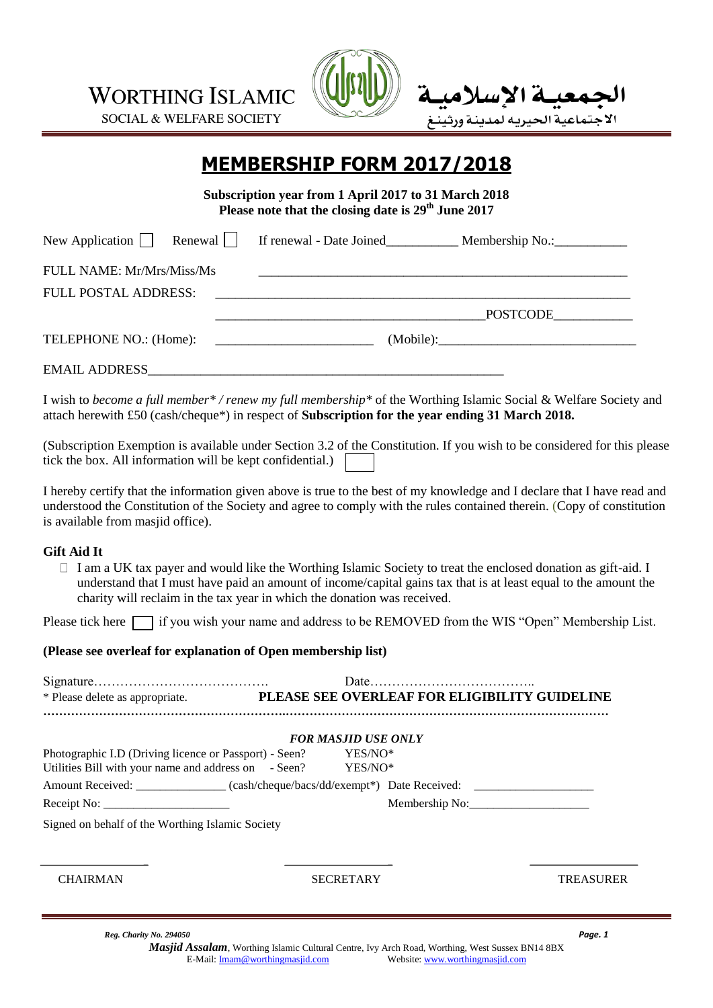**WORTHING ISLAMIC** 

**SOCIAL & WELFARE SOCIETY** 



# **MEMBERSHIP FORM 2017/2018**

**Subscription year from 1 April 2017 to 31 March 2018 Please note that the closing date is 29th June 2017**

|                                  | New Application Renewal Strenewal - Date Joined Membership No.: New Application Renewal Strength Intervalse In |
|----------------------------------|----------------------------------------------------------------------------------------------------------------|
| <b>FULL NAME: Mr/Mrs/Miss/Ms</b> |                                                                                                                |
|                                  |                                                                                                                |
|                                  | POSTCODE____________                                                                                           |
| TELEPHONE NO.: (Home):           | (Mobile):                                                                                                      |
| <b>EMAIL ADDRESS</b>             |                                                                                                                |

I wish to *become a full member\* / renew my full membership\** of the Worthing Islamic Social & Welfare Society and attach herewith £50 (cash/cheque\*) in respect of **Subscription for the year ending 31 March 2018.**

(Subscription Exemption is available under Section 3.2 of the Constitution. If you wish to be considered for this please tick the box. All information will be kept confidential.)

I hereby certify that the information given above is true to the best of my knowledge and I declare that I have read and understood the Constitution of the Society and agree to comply with the rules contained therein. (Copy of constitution is available from masjid office).

#### **Gift Aid It**

 $\Box$  I am a UK tax payer and would like the Worthing Islamic Society to treat the enclosed donation as gift-aid. I understand that I must have paid an amount of income/capital gains tax that is at least equal to the amount the charity will reclaim in the tax year in which the donation was received.

Please tick here  $\Box$  if you wish your name and address to be REMOVED from the WIS "Open" Membership List.

#### **(Please see overleaf for explanation of Open membership list)**

| * Please delete as appropriate. PLEASE SEE OVERLEAF FOR ELIGIBILITY GUIDELINE                                          |                            |                  |                  |
|------------------------------------------------------------------------------------------------------------------------|----------------------------|------------------|------------------|
|                                                                                                                        | <b>FOR MASJID USE ONLY</b> |                  |                  |
| Photographic I.D (Driving licence or Passport) - Seen?<br>Utilities Bill with your name and address on - Seen? YES/NO* |                            | YES/NO*          |                  |
| Amount Received: _________________(cash/cheque/bacs/dd/exempt*) Date Received: _____________________                   |                            |                  |                  |
|                                                                                                                        |                            |                  |                  |
| Signed on behalf of the Worthing Islamic Society                                                                       |                            |                  |                  |
|                                                                                                                        |                            |                  |                  |
| <b>CHAIRMAN</b>                                                                                                        |                            | <b>SECRETARY</b> | <b>TREASURER</b> |
| Reg. Charity No. 294050                                                                                                |                            |                  | Paae. 1          |